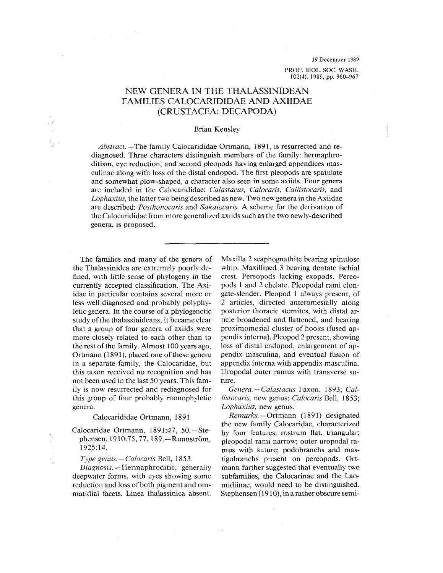19 December 1989

PROC. BIOL. SOC. WASH. 102(4), 1989, pp. 960-967

# NEW GENERA IN THE THALASSINIDEAN FAMILIES CALOCARIDIDAE AND AXIIDAE (CRUSTACEA: DECAPODA)

## Brian Kensley

*Abstract.—The* family Calocarididae Ortmann, 1891, is resurrected and rediagnosed. Three characters distinguish members of the family: hermaphroditism, eye reduction, and second pleopods having enlarged appendices masculinae along with loss of the distal endopod. The first pleopods are spatulate and somewhat plow-shaped, a character also seen in some axiids. Four genera are included in the Calocarididae: *Calastacus, Calocaris, Callistocaris,* and *Lophaxius,* the latter two being described as new. Two new genera in the Axiidae are described: *Posthonocaris* and *Sakaiocaris.* A scheme for the derivation of the Calocarididae from more generalized axiids such as the two newly-described genera, is proposed.

The families and many of the genera of the Thalassinidea are extremely poorly defined, with little sense of phylogeny in the currently accepted classification. The Axiidae in particular contains several more or less well diagnosed and probably polyphyletic genera. In the course of a phylogenetic study of the thalassinideans, it became clear that a group of four genera of axiids were more closely related to each other than to the rest of the family. Almost 100 years ago, Ortmann (1891), placed one of these genera in a separate family, the Calocaridae, but this taxon received no recognition and has not been used in the last 50 years. This family is now resurrected and rediagnosed for this group of four probably monophyletic genera.

#### Calocarididae Ortmann, 1891

Calocaridae Ortmann, 1891:47, 50.-Stephensen, 1910:75, 77, 189. - Runnström, 1925:14.

*Type genus.* — *Calocaris* Bell, 1853.

*Diagnosis.* —Hermaphroditic, generally deepwater forms, with eyes showing some reduction and loss of both pigment and ommatidial facets. Linea thalassinica absent. Maxilla 2 scaphognathite bearing spinulose whip. Maxilliped 3 bearing dentate ischial crest. Pereopods lacking exopods. Pereopods 1 and 2 chelate. Pleopodal rami elongate-slender. Pleopod 1 always present, of 2 articles, directed anteromesially along posterior thoracic sternites, with distal article broadened and flattened, and bearing proximomesial cluster of hooks (fused appendix interna). Pleopod 2 present, showing loss of distal endopod, enlargement of appendix masculina, and eventual fusion of appendix interna with appendix masculina. Uropodal outer ramus with transverse suture.

*Genera. —Calastacus* Faxon, 1893; *Callistocaris*, new genus; *Calocaris Bell*, 1853; *Lophaxius,* new genus.

*Remarks.—Orimami* (1891) designated the new family Calocaridae, characterized by four features: rostrum flat, triangular; pleopodal rami narrow; outer uropodal ramus with suture; podobranchs and mastigobranchs present on pereopods. Ortmann further suggested that eventually two subfamilies, the Calocarinae and the Laomidiinae, would need to be distinguished. Stephensen (1910), in a rather obscure semi-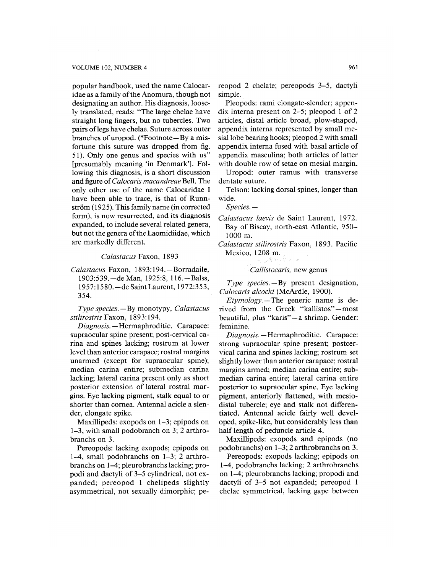#### VOLUME 102, NUMBER 4 961

popular handbook, used the name Calocaridae as a family of the Anomura, though not designating an author. His diagnosis, loosely translated, reads: "The large chelae have straight long fingers, but no tubercles. Two pairs of legs have chelae. Suture across outer branches of uropod. (\*Footnote—By a misfortune this suture was dropped from fig. 51). Only one genus and species with us" [presumably meaning 'in Denmark']. Following this diagnosis, is a short discussion and figure *oiCalocaris macandreae Bell.* The only other use of the name Calocaridae I have been able to trace, is that of Runnström (1925). This family name (in corrected form), is now resurrected, and its diagnosis expanded, to include several related genera, but not the genera of the Laomidiidae, which are markedly different.

*Calastacus Faxon,* 1893

*Calastacus* Faxon, 1893:194.—Borradaile, 1903:539. — de Man, 1925:8, 116. — Balss, 1957:1580. — de Saint Laurent, 1972:353, 354.

*Type species.—By* monotypy, *Calastacus stilirostris Faxon,* 1893:194.

*Diagnosis.* —Hermaphroditic. Carapace: supraocular spine present; post-cervical carina and spines lacking; rostrum at lower level than anterior carapace; rostral margins unarmed (except for supraocular spine); median carina entire; submedian carina lacking; lateral carina present only as short posterior extension of lateral rostral margins. Eye lacking pigment, stalk equal to or shorter than cornea. Antennal acicle a slender, elongate spike.

Maxillipeds: exopods on 1–3; epipods on 1-3, with small podobranch on 3; 2 arthrobranchs on 3.

Pereopods: lacking exopods; epipods on 1-4, small podobranchs on 1-3; 2 arthrobranchs on 1-4; pleurobranchs lacking; propodi and dactyli of 3-5 cylindrical, not expanded; pereopod 1 chelipeds slightly asymmetrical, not sexually dimorphic; pe-

reopod 2 chelate; pereopods 3-5, dactyli simple.

Pleopods: rami elongate-slender; appendix interna present on 2-5; pleopod 1 of 2 articles, distal article broad, plow-shaped, appendix interna represented by small mesial lobe bearing hooks; pleopod 2 with small appendix interna fused with basal article of appendix masculina; both articles of latter with double row of setae on mesial margin.

Uropod: outer ramus with transverse dentate suture.

Telson: lacking dorsal spines, longer than wide.

*Species. —* 

- *Calastacus laevis* de Saint Laurent, 1972. Bay of Biscay, north-east Atlantic, 950- 1000 m.
- *Calastacus stilirostris Faxon,* 1893. Pacific Mexico, 1208 m.

*Callistocaris,* new genus

*Type species.—By* present designation, *Calocaris alcocki* (McArdle, 1900).

 $Et$ *ymology*. — The generic name is derived from the Greek "kallistos"—most beautiful, plus "karis"—a shrimp. Gender: feminine.

*Diagnosis.* —Hermaphroditic. Carapace: strong supraocular spine present; postcervical carina and spines lacking; rostrum set slightly lower than anterior carapace; rostral margins armed; median carina entire; submedian carina entire; lateral carina entire posterior to supraocular spine. Eye lacking pigment, anteriorly flattened, with mesiodistal tubercle; eye and stalk not differentiated. Antennal acicle fairly well developed, spike-like, but considerably less than half length of peduncle article 4.

Maxillipeds: exopods and epipods (no podobranchs) on 1-3; 2 arthrobranchs on 3.

Pereopods: exopods lacking; epipods on 1-4, podobranchs lacking; 2 arthrobranchs on 1-4; pleurobranchs lacking; propodi and dactyli of 3-5 not expanded; pereopod 1 chelae symmetrical, lacking gape between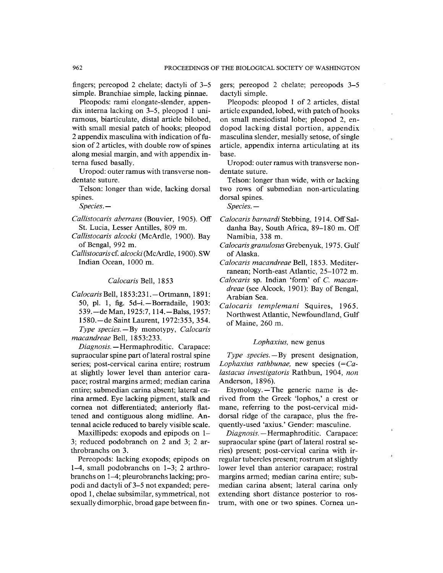fingers; pereopod 2 chelate; dactyli of 3-5 simple. Branchiae simple, lacking pinnae.

Pleopods: rami elongate-slender, appendix interna lacking on 3-5, pleopod 1 uniramous, biarticulate, distal article bilobed, with small mesial patch of hooks; pleopod 2 appendix masculina with indication of fusion of 2 articles, with double row of spines along mesial margin, and with appendix interna fused basally.

Uropod: outer ramus with transverse nondentate suture.

Telson: longer than wide, lacking dorsal spines.

*Species. —* 

- *Callistocaris aberrans* (Bouvier, 1905). Off St. Lucia, Lesser Antilles, 809 m.
- *Callistocaris alcocki* (McArdle, 1900). Bay of Bengal, 992 m.
- *Callistocaris* cf *alcocki* (McArdle, 1900). SW Indian Ocean, 1000 m.

Calocaris Bell, 1853

*CalocarisBell, 1853:231.* - Ortmann, 1891: 50, pl. 1, fig. 5d-i. - Borradaile, 1903: 539. – de Man, 1925:7, 114. – Balss, 1957: 1580.-de Saint Laurent, 1972:353, 354. *Type species.* - By monotypy, *Calocaris* 

*macandreae Bell,* 1853:233.

*Diagnosis.* —Hermaphroditic. Carapace: supraocular spine part of lateral rostral spine series; post-cervical carina entire; rostrum at slightly lower level than anterior carapace; rostral margins armed; median carina entire; submedian carina absent; lateral carina armed. Eye lacking pigment, stalk and cornea not differentiated; anteriorly flattened and contiguous along midline. Antennal acicle reduced to barely visible scale.

Maxillipeds: exopods and epipods on 1– 3; reduced podobranch on 2 and 3; 2 arthrobranchs on 3.

Pereopods: lacking exopods; epipods on 1-4, small podobranchs on 1-3; 2 arthrobranchs on 1-4; pleurobranchs lacking; propodi and dactyli of 3-5 not expanded; pereopod 1, chelae subsimilar, symmetrical, not sexually dimorphic, broad gape between fingers; pereopod 2 chelate; pereopods 3-5 dactyli simple.

Pleopods: pleopod 1 of 2 articles, distal article expanded, lobed, with patch of hooks on small mesiodistal lobe; pleopod 2, endopod lacking distal portion, appendix masculina slender, mesially setose, of single article, appendix interna articulating at its base.

Uropod: outer ramus with transverse nondentate suture.

Telson: longer than wide, with or lacking two rows of submedian non-articulating dorsal spines.

*Species. —* 

- *Calocaris barnardi Stebhing,* 1914. OffSaldanha Bay, South Africa, 89-180 m. Off Namibia, 338 m.
- *Calocaris granulosus Grehenyuk,* 1975. Gulf of Alaska.
- *Calocaris macandreae Bell,* 1853. Mediterranean; North-east Atlantic, 25-1072 m.
- *Calocaris* sp. Indian 'form' of *C. macandreae* (see Alcock, 1901): Bay of Bengal, Arabian Sea.
- *Calocaris templemani* Squires, 1965. Northwest Atlantic, Newfoundland, Gulf of Maine, 260 m.

#### *Lophaxius,* new genus

*Type species.—By* present designation, *Lophaxius rathbunae,* new species *{=Calastacus investigatoris* Rathbun, 1904, *non*  Anderson, 1896).

Etymology.—The generic name is derived from the Greek 'lophos,' a crest or mane, referring to the post-cervical middorsal ridge of the carapace, plus the frequently-used 'axius.' Gender: masculine.

*Diagnosis.* —Hermaphroditic. Carapace: supraocular spine (part of lateral rostral series) present; post-cervical carina with irregular tubercles present; rostrum at slightly lower level than anterior carapace; rostral margins armed; median carina entire; submedian carina absent; lateral carina only extending short distance posterior to rostrum, with one or two spines. Cornea un-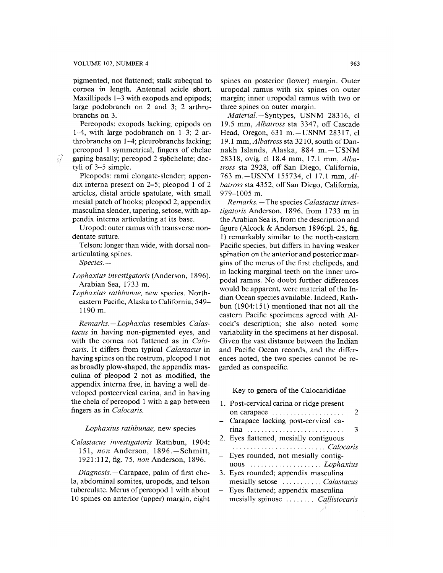#### VOLUME 102, NUMBER 4 963

pigmented, not flattened; stalk subequal to cornea in length. Antennal acicle short. Maxillipeds 1-3 with exopods and epipods; large podobranch on 2 and 3; 2 arthrobranchs on 3.

Pereopods: exopods lacking; epipods on 1-4, with large podobranch on 1-3; 2 arthrobranehs on 1-4; pleurobranchs lacking; pereopod 1 symmetrical, fingers of chelae  $\sqrt{a}$  gaping basally; pereopod 2 subchelate; dactyli of 3-5 simple.

> Pleopods: rami elongate-slender; appendix interna present on 2-5; pleopod 1 of 2 articles, distal article spatulate, with small mesial patch of hooks; pleopod 2, appendix masculina slender, tapering, setose, with appendix interna articulating at its base.

> Uropod: outer ramus with transverse nondentate suture.

> Telson: longer than wide, with dorsal nonarticulating spines.

*Species. —* 

*Lophaxius investigatoris* (Anderson, 1896). Arabian Sea, 1733 m.

*Lophaxius rathbunae,* new species. Northeastern Pacific, Alaska to California, 549- 1190 m.

*Remarks.—Lophaxius* resembles *Calastacus* in having non-pigmented eyes, and with the cornea not flattened as in *Calocaris.* It differs from typical *Calastacus* in having spines on the rostrum, pleopod 1 not as broadly plow-shaped, the appendix masculina of pleopod 2 not as modified, the appendix interna free, in having a well developed postcervical carina, and in having the chela of pereopod 1 with a gap between fingers as in *Calocaris.* 

#### *Lophaxius rathbunae,* new species

*Calastacus investigatoris* Rathbun, 1904: 151, *non* Anderson, 1896. —Schmitt, 1921:112, fig. 75, *non* Anderson, 1896.

*Diagnosis.*—Carapace, palm of first chela, abdominal somites, uropods, and telson tuberculate. Merus of pereopod 1 with about 10 spines on anterior (upper) margin, eight

spines on posterior (lower) margin. Outer uropodal ramus with six spines on outer margin; inner uropodal ramus with two or three spines on outer margin.

*Material—Syniype^,* USNM 28316, cl 19.5 mm, *Albatross* sta 3347, off Cascade Head, Oregon, 631 m. - USNM 28317, cl 19.1 mm. *Albatross* sta 3210, south of Dannakh Islands, Alaska, 884 m.-USNM 28318, ovig. cl 18.4 mm, 17.1 mm. *Albatross* sta 2928, off San Diego, California, 763 m. - USNM 155734, cl 17.1 mm, Al*batross* sta 4352, off San Diego, California, 979-1005 m.

*Remarks.* —The species *Calastacus investigatoris* Anderson, 1896, from 1733 m in the Arabian Sea is, from the description and figure (Alcock & Anderson 1896:pl. 25, fig. 1) remarkably similar to the north-eastern Pacific species, but differs in having weaker spination on the anterior and posterior margins of the merus of the first chelipeds, and in lacking marginal teeth on the inner uropodal ramus. No doubt further differences would be apparent, were material of the Indian Ocean species available. Indeed, Rathbun (1904:151) mentioned that not all the eastern Pacific specimens agreed with Alcock's description; she also noted some variability in the specimens at her disposal. Given the vast distance between the Indian and Pacific Ocean records, and the differences noted, the two species cannot be regarded as conspecific.

## Key to genera of the Calocarididae

| 1. Post-cervical carina or ridge present |
|------------------------------------------|
| 2<br>on carapace                         |
| - Carapace lacking post-cervical ca-     |
| 3<br>rina                                |
| 2. Eyes flattened, mesially contiguous   |
|                                          |
| Eyes rounded, not mesially contig-       |
|                                          |
| 3. Eyes rounded; appendix masculina      |
| mesially setose  Calastacus              |
| Eyes flattened; appendix masculina       |
| mesially spinose  Callistocaris          |
|                                          |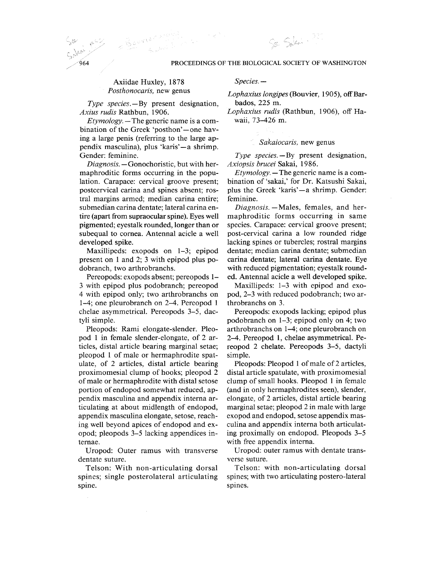## Axiidae Huxley, 1878 *Posthonocaris,* new genus

*Type species.—By* present designation, *Axius rudis'R&ihhun,* 1906.

*Etymology.* —The generic name is a combination of the Greek 'posthon'—one having a large penis (referring to the large appendix masculina), plus 'karis'—a shrimp. Gender: feminine.

*Diagnosis.* — Gonochoristic, but with hermaphroditic forms occurring in the population. Carapace: cervical groove present; postcervical carina and spines absent; rostral margins armed; median carina entire; submedian carina dentate; lateral carina entire (apart from supraocular spine). Eyes well pigmented; eyestalk rounded, longer than or subequal to cornea. Antennal acicle a well developed spike.

Maxillipeds: exopods on 1-3; epipod present on 1 and 2; 3 with epipod plus podobranch, two arthrobranchs.

Pereopods: exopods absent; pereopods 1- 3 with epipod plus podobranch; pereopod 4 with epipod only; two arthrobranchs on 1-4; one pleurobranch on 2-4. Pereopod 1 chelae asymmetrical. Pereopods 3-5, dactyli simple.

Pleopods: Rami elongate-slender. Pleopod 1 in female slender-elongate, of 2 articles, distal article bearing marginal setae; pleopod 1 of male or hermaphrodite spatulate, of 2 articles, distal article bearing proximomesial clump of hooks; pleopod 2 of male or hermaphrodite with distal setose portion of endopod somewhat reduced, appendix masculina and appendix interna articulating at about midlength of endopod, appendix masculina elongate, setose, reaching well beyond apices of endopod and exopod; pleopods 3-5 lacking appendices internae.

Uropod: Outer ramus with transverse dentate suture.

Telson: With non-articulating dorsal spines; single posterolateral articulating spine.

*Species. —* 

*Lophaxius longipes {Bo\xvier,* 1905), off Barbados, 225 m.

So Salain ???

*Lophaxius rudis* (Rathbun, 1906), off Hawaii, 73-426 m.

## *Sakaiocaris,* new genus

*Type species.—By* present designation, *Axiopsis brucei Szka.i,* 1986.

*Etymology.* —The generic name is a combination of 'sakai,' for Dr. Katsushi Sakai, plus the Greek 'karis'—a shrimp. Gender: feminine.

*Diagnosis.—Males,* females, and hermaphroditic forms occurring in same species. Carapace: cervical groove present; post-cervical carina a low rounded ridge lacking spines or tubercles; rostral margins dentate; median carina dentate; submedian carina dentate; lateral carina dentate. Eye with reduced pigmentation; eyestalk rounded. Antennal acicle a well developed spike.

Maxillipeds: 1-3 with epipod and exopod, 2-3 with reduced podobranch; two arthrobranchs on 3.

Pereopods: exopods lacking; epipod plus podobranch on 1-3; epipod only on 4; two arthrobranchs on 1-4; one pleurobranch on 2-4. Pereopod 1, chelae asymmetrical. Pereopod 2 chelate. Pereopods 3-5, dactyli simple.

Pleopods: Pleopod 1 of male of 2 articles, distal article spatulate, with proximomesial clump of small hooks. Pleopod 1 in female (and in only hermaphrodites seen), slender, elongate, of 2 articles, distal article bearing marginal setae; pleopod 2 in male with large exopod and endopod, setose appendix masculina and appendix interna both articulating proximally on endopod. Pleopods 3-5 with free appendix interna.

Uropod: outer ramus with dentate transverse suture.

Telson: with non-articulating dorsal spines; with two articulating postero-lateral spines.

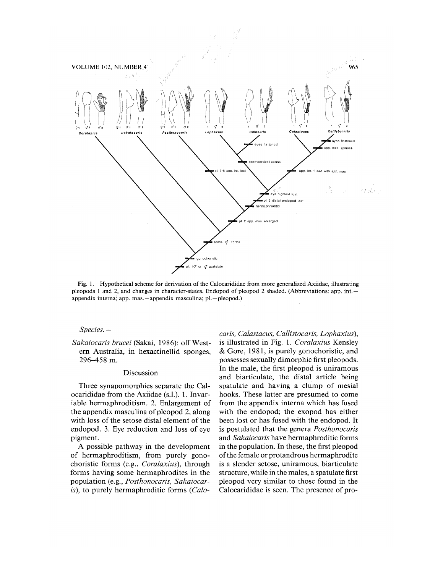

Fig. 1. Hypothetical scheme for derivation of the Calocarididae from more generalized Axiidae, illustrating pleopods 1 and 2, and changes in character-states. Endopod of pleopod 2 shaded. (Abbreviations: app. int. appendix interna; app. mas.—appendix masculina; pi.—pleopod.)

### *Species.* —

*Sakaiocaris brucei* (Sakai, 1986); off Western Australia, in hexactinellid sponges, 296-458 m.

## Discussion

Three synapomorphies separate the Calocarididae from the Axiidae (s.l.). 1. Invariable hermaphroditism. 2. Enlargement of the appendix masculina of pleopod 2, along with loss of the setose distal element of the endopod. 3. Eye reduction and loss of eye pigment.

A possible pathway in the development of hermaphroditism, from purely gonochoristic forms (e.g., *Coralaxius),* through forms having some hermaphrodites in the population (e.g., *Posthonocaris, Sakaiocaris),* to purely hermaphroditic forms *(Calo-*

*caris, Calastacus, Callistocaris, Lophaxius),*  is illustrated in Fig. 1. *Coralaxius* Kensley & Gore, 1981, is purely gonochoristic, and possesses sexually dimorphic first pleopods. In the male, the first pleopod is uniramous and biarticulate, the distal article being spatuiate and having a clump of mesial hooks. These latter are presumed to come from the appendix interna which has fused with the endopod; the exopod has either been lost or has fused with the endopod. It is postulated that the genera *Posthonocaris*  and *Sakaiocaris* have hermaphroditic forms in the population. In these, the first pleopod of the female or protandrous hermaphrodite is a slender setose, uniramous, biarticulate structure, while in the males, a spatuiate first pleopod very similar to those found in the Calocarididae is seen. The presence of pro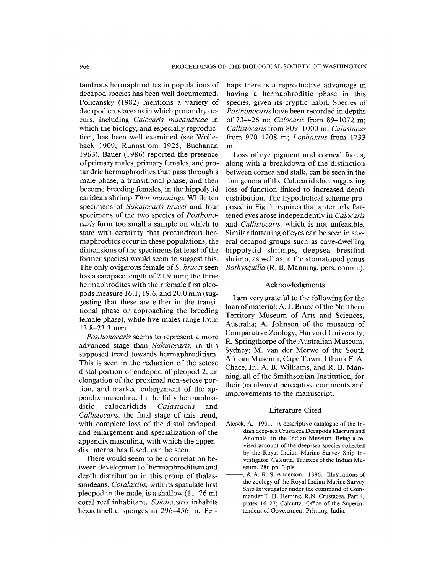tandrous hermaphrodites in populations of decapod species has been well documented. Policansky (1982) mentions a variety of decapod crustaceans in which protandry occurs, including *Calocaris macandreae* in which the biology, and especially reproduction, has been well examined (see Wollebaek 1909, Runnstrom 1925, Buchanan 1963). Bauer (1986) reported the presence of primary males, primary females, and protandric hermaphrodites that pass through a male phase, a transitional phase, and then become breeding females, in the hippolytid caridean shrimp *Thor manningi.* While ten specimens of *Sakaiocaris brucei* and four specimens of the two species of *Posthonocaris* form too small a sample on which to state with certainty that protandrous hermaphrodites occur in these populations, the dimensions of the specimens (at least of the former species) would seem to suggest this. The only ovigerous female of *S. brucei* seen has a carapace length of 21.9 mm; the three hermaphrodites with their female first pleopods measure 16.1, 19.6, and 20.0 mm (suggesting that these are either in the transitional phase or approaching the breeding female phase), while five males range from 13.8-23.3 mm.

*Posthonocaris* seems to represent a more advanced stage than *Sakaiocaris,* in this supposed trend towards hermaphroditism. This is seen in the reduction of the setose distal portion of endopod of pleopod 2, an elongation of the proximal non-setose portion, and marked enlargement of the appendix masculina. In the fully hermaphroditic calocaridids *Calastacus* and *Callistocaris,* the final stage of this trend, with complete loss of the distal endopod, and enlargement and specialization of the appendix masculina, with which the appendix interna has fused, can be seen.

There would seem to be a correlation between development of hermaphroditism and depth distribution in this group of thalassinideans. *Coralaxius,* with its spatulate first pleopod in the male, is a shallow  $(11-76 \text{ m})$ coral reef inhabitant. *Sakaiocaris* inhabits hexactinellid sponges in 296-456 m. Perhaps there is a reproductive advantage in having a hermaphroditic phase in this species, given its cryptic habit. Species of *Posthonocaris* have been recorded in depths of 73-426 m; *Calocaris* from 89-1072 m; *Callistocaris from* 809-1000 m; *Calastacus*  from 970-1208 m; *Lophaxius* from 1733 m.

Loss of eye pigment and corneal facets, along with a breakdown of the distinction between cornea and stalk, can be seen in the four genera of the Calocarididae, suggesting loss of function linked to increased depth distribution. The hypothetical scheme proposed in Fig. 1 requires that anteriorly flattened eyes arose independently in *Calocaris*  and *Callistocaris,* which is not unfeasible. Similar flattening of eyes can be seen in several decapod groups such as cave-dwelling hippolytid shrimps, deepsea bresiliid shrimp, as well as in the stomatopod genus *Bathysquilla* (R. B. Manning, pers. comm.).

## Acknowledgments

I am very grateful to the following for the loan of material: A. J. Bruce of the Northern Territory Museum of Arts and Sciences, Australia; A. Johnson of the museum of Comparative Zoology, Harvard University; R. Springthorpe of the Australian Museum, Sydney; M. van der Merwe of the South African Museum, Cape Town. I thank F. A. Chace, Jr., A. B. Williams, and R. B. Manning, all of the Smithsonian Institution, for their (as always) perceptive comments and improvements to the manuscript.

#### Literature Cited

- Alcock, A. 1901. A descriptive catalogue of the Indian deep-sea Crustacea Decapoda Macrura and Anomala, in the Indian Museum. Being a revised account of the deep-sea species collected by the Royal Indian Marine Survey Ship Investigator. Calcutta, Trustees of the Indian Museum. 286 pp, 3 pis.
	- , & A. R. S. Anderson. 1896. Illustrations of the zoology of the Royal Indian Marine Survey Ship Investigator under the command of Commander T. H. Heming, R.N. Crustacea, Part 4, plates 16-27; Calcutta. Office of the Superintendent of Government Printing, India.